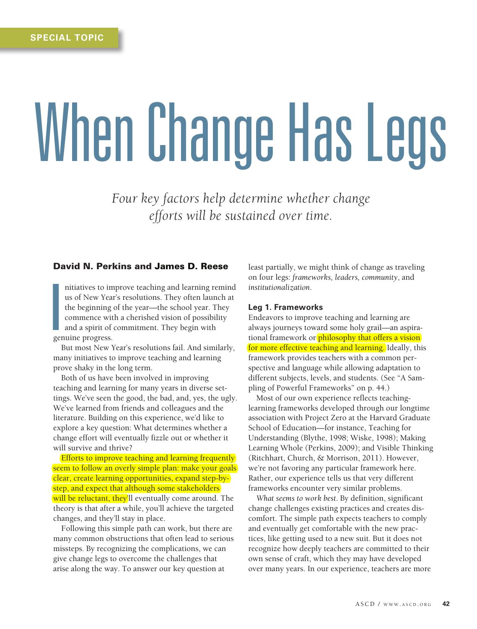# When Change Has Legs

*Four key factors help determine whether change efforts will be sustained over time.*

# David N. Perkins and James D. Reese

I nitiatives to improve teaching and learning remind us of New Year's resolutions. They often launch at the beginning of the year—the school year. They commence with a cherished vision of possibility and a spirit of commitment. They begin with genuine progress.

But most New Year's resolutions fail. And similarly, many initiatives to improve teaching and learning prove shaky in the long term.

Both of us have been involved in improving teaching and learning for many years in diverse settings. We've seen the good, the bad, and, yes, the ugly. We've learned from friends and colleagues and the literature. Building on this experience, we'd like to explore a key question: What determines whether a change effort will eventually fizzle out or whether it will survive and thrive?

Efforts to improve teaching and learning frequently seem to follow an overly simple plan: make your goals clear, create learning opportunities, expand step-bystep, and expect that although some stakeholders will be reluctant, they'll eventually come around. The theory is that after a while, you'll achieve the targeted changes, and they'll stay in place.

Following this simple path can work, but there are many common obstructions that often lead to serious missteps. By recognizing the complications, we can give change legs to overcome the challenges that arise along the way. To answer our key question at

least partially, we might think of change as traveling on four legs: *frameworks, leaders, community*, and *institutionalization*.

#### **Leg 1. Frameworks**

Endeavors to improve teaching and learning are always journeys toward some holy grail—an aspirational framework or philosophy that offers a vision for more effective teaching and learning. Ideally, this framework provides teachers with a common perspective and language while allowing adaptation to different subjects, levels, and students. (See "A Sampling of Powerful Frameworks" on p. 44.)

Most of our own experience reflects teachinglearning frameworks developed through our longtime association with Project Zero at the Harvard Graduate School of Education—for instance, Teaching for Understanding (Blythe, 1998; Wiske, 1998); Making Learning Whole (Perkins, 2009); and Visible Thinking (Ritchhart, Church, & Morrison, 2011). However, we're not favoring any particular framework here. Rather, our experience tells us that very different frameworks encounter very similar problems.

*What seems to work best*. By definition, significant change challenges existing practices and creates discomfort. The simple path expects teachers to comply and eventually get comfortable with the new practices, like getting used to a new suit. But it does not recognize how deeply teachers are committed to their own sense of craft, which they may have developed over many years. In our experience, teachers are more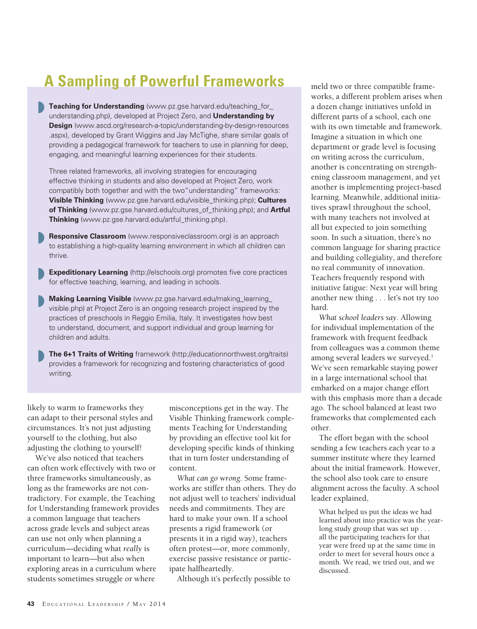# **A Sampling of Powerful Frameworks**

**Teaching for Understanding** (www.pz.gse.harvard.edu/teaching for understanding.php), developed at Project Zero, and **Understanding by Design** (www.ascd.org/research-a-topic/understanding-by-design-resources .aspx), developed by Grant Wiggins and Jay McTighe, share similar goals of providing a pedagogical framework for teachers to use in planning for deep, engaging, and meaningful learning experiences for their students. »

Three related frameworks, all involving strategies for encouraging effective thinking in students and also developed at Project Zero, work compatibly both together and with the two"understanding" frameworks: **Visible Thinking** (www.pz.gse.harvard.edu/visible\_thinking.php); **Cultures of Thinking** (www.pz.gse.harvard.edu/cultures\_of\_thinking.php); and **Artful Thinking** (www.pz.gse.harvard.edu/artful\_thinking.php).

**Responsive Classroom** (www.responsiveclassroom.org) is an approach to establishing a high-quality learning environment in which all children can thrive. »

**Expeditionary Learning** (http://elschools.org) promotes five core practices for effective teaching, learning, and leading in schools. »

**Making Learning Visible** (www.pz.gse.harvard.edu/making learning visible.php) at Project Zero is an ongoing research project inspired by the practices of preschools in Reggio Emilia, Italy. It investigates how best to understand, document, and support individual and group learning for children and adults. »

**The 6+1 Traits of Writing** framework (http://educationnorthwest.org/traits) provides a framework for recognizing and fostering characteristics of good writing. »

likely to warm to frameworks they can adapt to their personal styles and circumstances. It's not just adjusting yourself to the clothing, but also adjusting the clothing to yourself!

We've also noticed that teachers can often work effectively with two or three frameworks simultaneously, as long as the frameworks are not contradictory. For example, the Teaching for Understanding framework provides a common language that teachers across grade levels and subject areas can use not only when planning a curriculum—deciding what *really* is important to learn—but also when exploring areas in a curriculum where students sometimes struggle or where

misconceptions get in the way. The Visible Thinking framework complements Teaching for Understanding by providing an effective tool kit for developing specific kinds of thinking that in turn foster understanding of content.

*What can go wrong*. Some frameworks are stiffer than others. They do not adjust well to teachers' individual needs and commitments. They are hard to make your own. If a school presents a rigid framework (or presents it in a rigid way), teachers often protest—or, more commonly, exercise passive resistance or participate halfheartedly.

Although it's perfectly possible to

meld two or three compatible frameworks, a different problem arises when a dozen change initiatives unfold in different parts of a school, each one with its own timetable and framework. Imagine a situation in which one department or grade level is focusing on writing across the curriculum, another is concentrating on strengthening classroom management, and yet another is implementing project-based learning. Meanwhile, additional initiatives sprawl throughout the school, with many teachers not involved at all but expected to join something soon. In such a situation, there's no common language for sharing practice and building collegiality, and therefore no real community of innovation. Teachers frequently respond with initiative fatigue: Next year will bring another new thing . . . let's not try too hard.

*What school leaders say.* Allowing for individual implementation of the framework with frequent feedback from colleagues was a common theme among several leaders we surveyed.<sup>1</sup> We've seen remarkable staying power in a large international school that embarked on a major change effort with this emphasis more than a decade ago. The school balanced at least two frameworks that complemented each other.

The effort began with the school sending a few teachers each year to a summer institute where they learned about the initial framework. However, the school also took care to ensure alignment across the faculty. A school leader explained,

What helped us put the ideas we had learned about into practice was the yearlong study group that was set up . . . all the participating teachers for that year were freed up at the same time in order to meet for several hours once a month. We read, we tried out, and we discussed.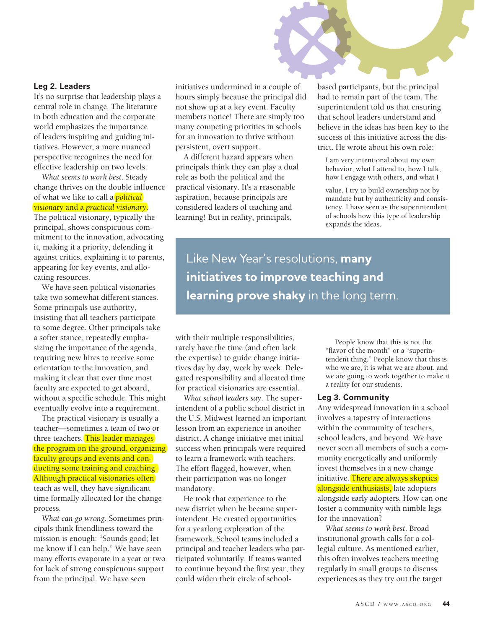### **Leg 2. Leaders**

It's no surprise that leadership plays a central role in change. The literature in both education and the corporate world emphasizes the importance of leaders inspiring and guiding initiatives. However, a more nuanced perspective recognizes the need for effective leadership on two levels.

*What seems to work best*. Steady change thrives on the double influence of what we like to call a *political visiona*ry and a *practical visionary*. The political visionary, typically the principal, shows conspicuous commitment to the innovation, advocating it, making it a priority, defending it against critics, explaining it to parents, appearing for key events, and allocating resources.

We have seen political visionaries take two somewhat different stances. Some principals use authority, insisting that all teachers participate to some degree. Other principals take a softer stance, repeatedly emphasizing the importance of the agenda, requiring new hires to receive some orientation to the innovation, and making it clear that over time most faculty are expected to get aboard, without a specific schedule. This might eventually evolve into a requirement.

The practical visionary is usually a teacher—sometimes a team of two or three teachers. This leader manages the program on the ground, organizing faculty groups and events and conducting some training and coaching. Although practical visionaries often teach as well, they have significant time formally allocated for the change process.

*What can go wrong*. Sometimes principals think friendliness toward the mission is enough: "Sounds good; let me know if I can help." We have seen many efforts evaporate in a year or two for lack of strong conspicuous support from the principal. We have seen

initiatives undermined in a couple of hours simply because the principal did not show up at a key event. Faculty members notice! There are simply too many competing priorities in schools for an innovation to thrive without persistent, overt support.

A different hazard appears when principals think they can play a dual role as both the political and the practical visionary. It's a reasonable aspiration, because principals are considered leaders of teaching and learning! But in reality, principals,

based participants, but the principal had to remain part of the team. The superintendent told us that ensuring that school leaders understand and believe in the ideas has been key to the success of this initiative across the district. He wrote about his own role:

I am very intentional about my own behavior, what I attend to, how I talk, how I engage with others, and what I

value. I try to build ownership not by mandate but by authenticity and consistency. I have seen as the superintendent of schools how this type of leadership expands the ideas.

Like New Year's resolutions, **many initiatives to improve teaching and learning prove shaky** in the long term.

with their multiple responsibilities, rarely have the time (and often lack the expertise) to guide change initiatives day by day, week by week. Delegated responsibility and allocated time for practical visionaries are essential.

*What school leaders say*. The superintendent of a public school district in the U.S. Midwest learned an important lesson from an experience in another district. A change initiative met initial success when principals were required to learn a framework with teachers. The effort flagged, however, when their participation was no longer mandatory.

He took that experience to the new district when he became superintendent. He created opportunities for a yearlong exploration of the framework. School teams included a principal and teacher leaders who participated voluntarily. If teams wanted to continue beyond the first year, they could widen their circle of school-

 People know that this is not the "flavor of the month" or a "superintendent thing." People know that this is who we are, it is what we are about, and we are going to work together to make it a reality for our students.

#### **Leg 3. Community**

Any widespread innovation in a school involves a tapestry of interactions within the community of teachers, school leaders, and beyond. We have never seen all members of such a community energetically and uniformly invest themselves in a new change initiative. There are always skeptics alongside enthusiasts, late adopters alongside early adopters. How can one foster a community with nimble legs for the innovation?

*What seems to work best*. Broad institutional growth calls for a collegial culture. As mentioned earlier, this often involves teachers meeting regularly in small groups to discuss experiences as they try out the target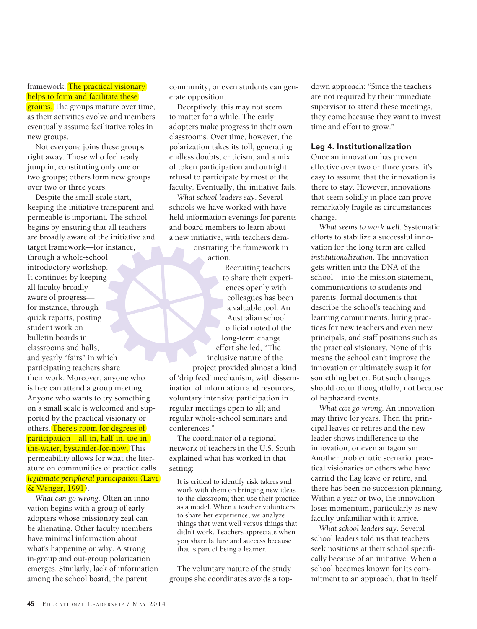framework. The practical visionary helps to form and facilitate these **groups.** The groups mature over time, as their activities evolve and members eventually assume facilitative roles in new groups.

Not everyone joins these groups right away. Those who feel ready jump in, constituting only one or two groups; others form new groups over two or three years.

Despite the small-scale start, keeping the initiative transparent and permeable is important. The school begins by ensuring that all teachers are broadly aware of the initiative and target framework—for instance, through a whole-school introductory workshop. It continues by keeping all faculty broadly aware of progress for instance, through quick reports, posting student work on bulletin boards in classrooms and halls, and yearly "fairs" in which participating teachers share their work. Moreover, anyone who is free can attend a group meeting. Anyone who wants to try something on a small scale is welcomed and supported by the practical visionary or others. There's room for degrees of participation—all-in, half-in, toe-inthe-water, bystander-for-now. This permeability allows for what the literature on communities of practice calls *legitimate peripheral participation* (Lave & Wenger, 1991).

*What can go wrong*. Often an innovation begins with a group of early adopters whose missionary zeal can be alienating. Other faculty members have minimal information about what's happening or why. A strong in-group and out-group polarization emerges. Similarly, lack of information among the school board, the parent

community, or even students can generate opposition.

Deceptively, this may not seem to matter for a while. The early adopters make progress in their own classrooms. Over time, however, the polarization takes its toll, generating endless doubts, criticism, and a mix of token participation and outright refusal to participate by most of the faculty. Eventually, the initiative fails.

*What school leaders say*. Several schools we have worked with have held information evenings for parents and board members to learn about a new initiative, with teachers dem-

onstrating the framework in action.

Recruiting teachers to share their experiences openly with colleagues has been a valuable tool. An Australian school official noted of the long-term change effort she led, "The inclusive nature of the

project provided almost a kind of 'drip feed' mechanism, with dissemination of information and resources; voluntary intensive participation in regular meetings open to all; and regular whole-school seminars and conferences."

The coordinator of a regional network of teachers in the U.S. South explained what has worked in that setting:

It is critical to identify risk takers and work with them on bringing new ideas to the classroom; then use their practice as a model. When a teacher volunteers to share her experience, we analyze things that went well versus things that didn't work. Teachers appreciate when you share failure and success because that is part of being a learner.

The voluntary nature of the study groups she coordinates avoids a top-

down approach: "Since the teachers are not required by their immediate supervisor to attend these meetings, they come because they want to invest time and effort to grow."

## **Leg 4. Institutionalization**

Once an innovation has proven effective over two or three years, it's easy to assume that the innovation is there to stay. However, innovations that seem solidly in place can prove remarkably fragile as circumstances change.

*What seems to work well*. Systematic efforts to stabilize a successful innovation for the long term are called *institutionalization*. The innovation gets written into the DNA of the school—into the mission statement, communications to students and parents, formal documents that describe the school's teaching and learning commitments, hiring practices for new teachers and even new principals, and staff positions such as the practical visionary. None of this means the school can't improve the innovation or ultimately swap it for something better. But such changes should occur thoughtfully, not because of haphazard events.

*What can go wrong.* An innovation may thrive for years. Then the principal leaves or retires and the new leader shows indifference to the innovation, or even antagonism. Another problematic scenario: practical visionaries or others who have carried the flag leave or retire, and there has been no succession planning. Within a year or two, the innovation loses momentum, particularly as new faculty unfamiliar with it arrive.

*What school leaders say*. Several school leaders told us that teachers seek positions at their school specifically because of an initiative. When a school becomes known for its commitment to an approach, that in itself